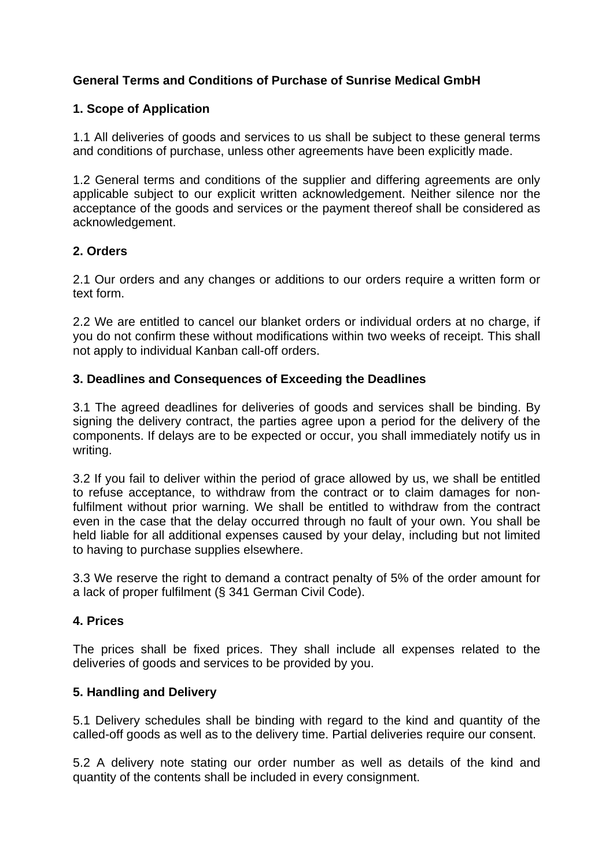# **General Terms and Conditions of Purchase of Sunrise Medical GmbH**

## **1. Scope of Application**

1.1 All deliveries of goods and services to us shall be subject to these general terms and conditions of purchase, unless other agreements have been explicitly made.

1.2 General terms and conditions of the supplier and differing agreements are only applicable subject to our explicit written acknowledgement. Neither silence nor the acceptance of the goods and services or the payment thereof shall be considered as acknowledgement.

### **2. Orders**

2.1 Our orders and any changes or additions to our orders require a written form or text form.

2.2 We are entitled to cancel our blanket orders or individual orders at no charge, if you do not confirm these without modifications within two weeks of receipt. This shall not apply to individual Kanban call-off orders.

### **3. Deadlines and Consequences of Exceeding the Deadlines**

3.1 The agreed deadlines for deliveries of goods and services shall be binding. By signing the delivery contract, the parties agree upon a period for the delivery of the components. If delays are to be expected or occur, you shall immediately notify us in writing.

3.2 If you fail to deliver within the period of grace allowed by us, we shall be entitled to refuse acceptance, to withdraw from the contract or to claim damages for nonfulfilment without prior warning. We shall be entitled to withdraw from the contract even in the case that the delay occurred through no fault of your own. You shall be held liable for all additional expenses caused by your delay, including but not limited to having to purchase supplies elsewhere.

3.3 We reserve the right to demand a contract penalty of 5% of the order amount for a lack of proper fulfilment (§ 341 German Civil Code).

### **4. Prices**

The prices shall be fixed prices. They shall include all expenses related to the deliveries of goods and services to be provided by you.

### **5. Handling and Delivery**

5.1 Delivery schedules shall be binding with regard to the kind and quantity of the called-off goods as well as to the delivery time. Partial deliveries require our consent.

5.2 A delivery note stating our order number as well as details of the kind and quantity of the contents shall be included in every consignment.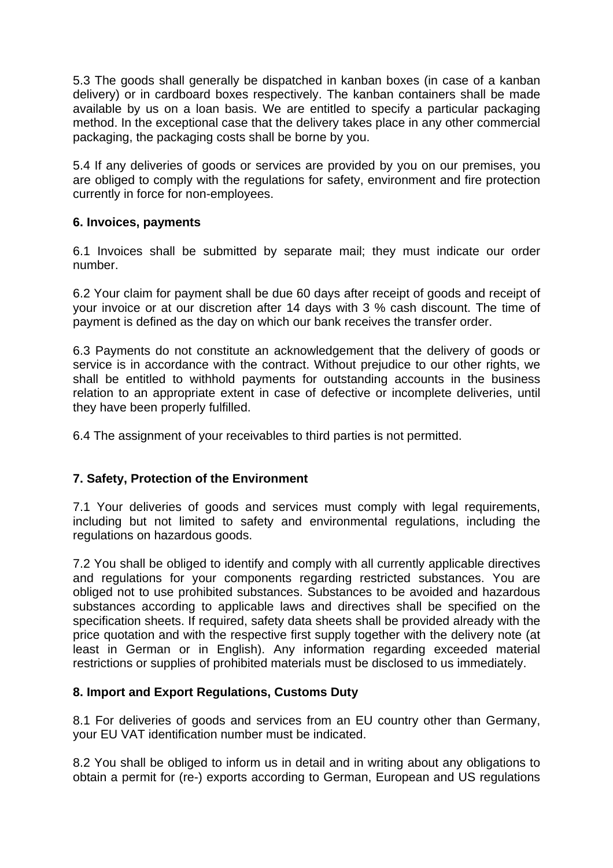5.3 The goods shall generally be dispatched in kanban boxes (in case of a kanban delivery) or in cardboard boxes respectively. The kanban containers shall be made available by us on a loan basis. We are entitled to specify a particular packaging method. In the exceptional case that the delivery takes place in any other commercial packaging, the packaging costs shall be borne by you.

5.4 If any deliveries of goods or services are provided by you on our premises, you are obliged to comply with the regulations for safety, environment and fire protection currently in force for non-employees.

### **6. Invoices, payments**

6.1 Invoices shall be submitted by separate mail; they must indicate our order number.

6.2 Your claim for payment shall be due 60 days after receipt of goods and receipt of your invoice or at our discretion after 14 days with 3 % cash discount. The time of payment is defined as the day on which our bank receives the transfer order.

6.3 Payments do not constitute an acknowledgement that the delivery of goods or service is in accordance with the contract. Without prejudice to our other rights, we shall be entitled to withhold payments for outstanding accounts in the business relation to an appropriate extent in case of defective or incomplete deliveries, until they have been properly fulfilled.

6.4 The assignment of your receivables to third parties is not permitted.

## **7. Safety, Protection of the Environment**

7.1 Your deliveries of goods and services must comply with legal requirements, including but not limited to safety and environmental regulations, including the regulations on hazardous goods.

7.2 You shall be obliged to identify and comply with all currently applicable directives and regulations for your components regarding restricted substances. You are obliged not to use prohibited substances. Substances to be avoided and hazardous substances according to applicable laws and directives shall be specified on the specification sheets. If required, safety data sheets shall be provided already with the price quotation and with the respective first supply together with the delivery note (at least in German or in English). Any information regarding exceeded material restrictions or supplies of prohibited materials must be disclosed to us immediately.

### **8. Import and Export Regulations, Customs Duty**

8.1 For deliveries of goods and services from an EU country other than Germany, your EU VAT identification number must be indicated.

8.2 You shall be obliged to inform us in detail and in writing about any obligations to obtain a permit for (re-) exports according to German, European and US regulations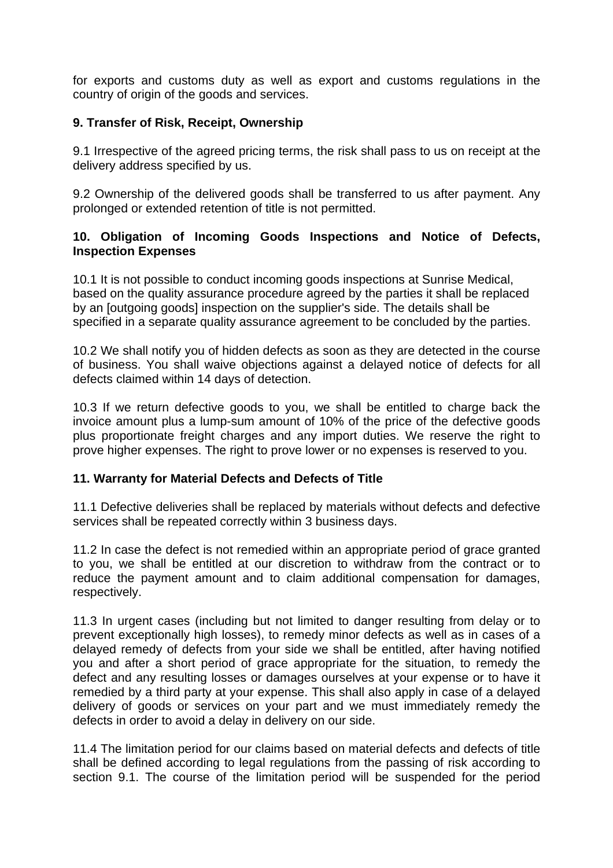for exports and customs duty as well as export and customs regulations in the country of origin of the goods and services.

### **9. Transfer of Risk, Receipt, Ownership**

9.1 Irrespective of the agreed pricing terms, the risk shall pass to us on receipt at the delivery address specified by us.

9.2 Ownership of the delivered goods shall be transferred to us after payment. Any prolonged or extended retention of title is not permitted.

### **10. Obligation of Incoming Goods Inspections and Notice of Defects, Inspection Expenses**

10.1 It is not possible to conduct incoming goods inspections at Sunrise Medical, based on the quality assurance procedure agreed by the parties it shall be replaced by an [outgoing goods] inspection on the supplier's side. The details shall be specified in a separate quality assurance agreement to be concluded by the parties.

10.2 We shall notify you of hidden defects as soon as they are detected in the course of business. You shall waive objections against a delayed notice of defects for all defects claimed within 14 days of detection.

10.3 If we return defective goods to you, we shall be entitled to charge back the invoice amount plus a lump-sum amount of 10% of the price of the defective goods plus proportionate freight charges and any import duties. We reserve the right to prove higher expenses. The right to prove lower or no expenses is reserved to you.

### **11. Warranty for Material Defects and Defects of Title**

11.1 Defective deliveries shall be replaced by materials without defects and defective services shall be repeated correctly within 3 business days.

11.2 In case the defect is not remedied within an appropriate period of grace granted to you, we shall be entitled at our discretion to withdraw from the contract or to reduce the payment amount and to claim additional compensation for damages, respectively.

11.3 In urgent cases (including but not limited to danger resulting from delay or to prevent exceptionally high losses), to remedy minor defects as well as in cases of a delayed remedy of defects from your side we shall be entitled, after having notified you and after a short period of grace appropriate for the situation, to remedy the defect and any resulting losses or damages ourselves at your expense or to have it remedied by a third party at your expense. This shall also apply in case of a delayed delivery of goods or services on your part and we must immediately remedy the defects in order to avoid a delay in delivery on our side.

11.4 The limitation period for our claims based on material defects and defects of title shall be defined according to legal regulations from the passing of risk according to section 9.1. The course of the limitation period will be suspended for the period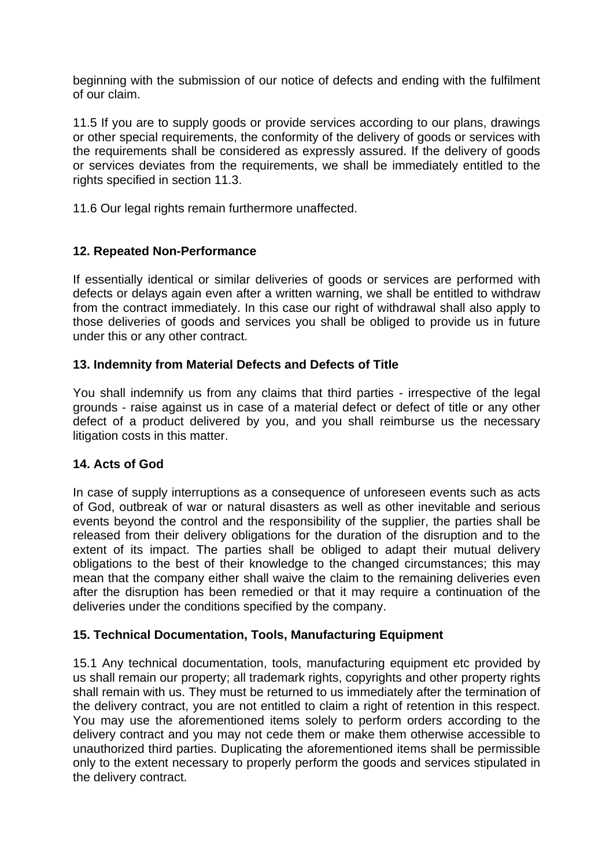beginning with the submission of our notice of defects and ending with the fulfilment of our claim.

11.5 If you are to supply goods or provide services according to our plans, drawings or other special requirements, the conformity of the delivery of goods or services with the requirements shall be considered as expressly assured. If the delivery of goods or services deviates from the requirements, we shall be immediately entitled to the rights specified in section 11.3.

11.6 Our legal rights remain furthermore unaffected.

## **12. Repeated Non-Performance**

If essentially identical or similar deliveries of goods or services are performed with defects or delays again even after a written warning, we shall be entitled to withdraw from the contract immediately. In this case our right of withdrawal shall also apply to those deliveries of goods and services you shall be obliged to provide us in future under this or any other contract.

## **13. Indemnity from Material Defects and Defects of Title**

You shall indemnify us from any claims that third parties - irrespective of the legal grounds - raise against us in case of a material defect or defect of title or any other defect of a product delivered by you, and you shall reimburse us the necessary litigation costs in this matter.

## **14. Acts of God**

In case of supply interruptions as a consequence of unforeseen events such as acts of God, outbreak of war or natural disasters as well as other inevitable and serious events beyond the control and the responsibility of the supplier, the parties shall be released from their delivery obligations for the duration of the disruption and to the extent of its impact. The parties shall be obliged to adapt their mutual delivery obligations to the best of their knowledge to the changed circumstances; this may mean that the company either shall waive the claim to the remaining deliveries even after the disruption has been remedied or that it may require a continuation of the deliveries under the conditions specified by the company.

## **15. Technical Documentation, Tools, Manufacturing Equipment**

15.1 Any technical documentation, tools, manufacturing equipment etc provided by us shall remain our property; all trademark rights, copyrights and other property rights shall remain with us. They must be returned to us immediately after the termination of the delivery contract, you are not entitled to claim a right of retention in this respect. You may use the aforementioned items solely to perform orders according to the delivery contract and you may not cede them or make them otherwise accessible to unauthorized third parties. Duplicating the aforementioned items shall be permissible only to the extent necessary to properly perform the goods and services stipulated in the delivery contract.